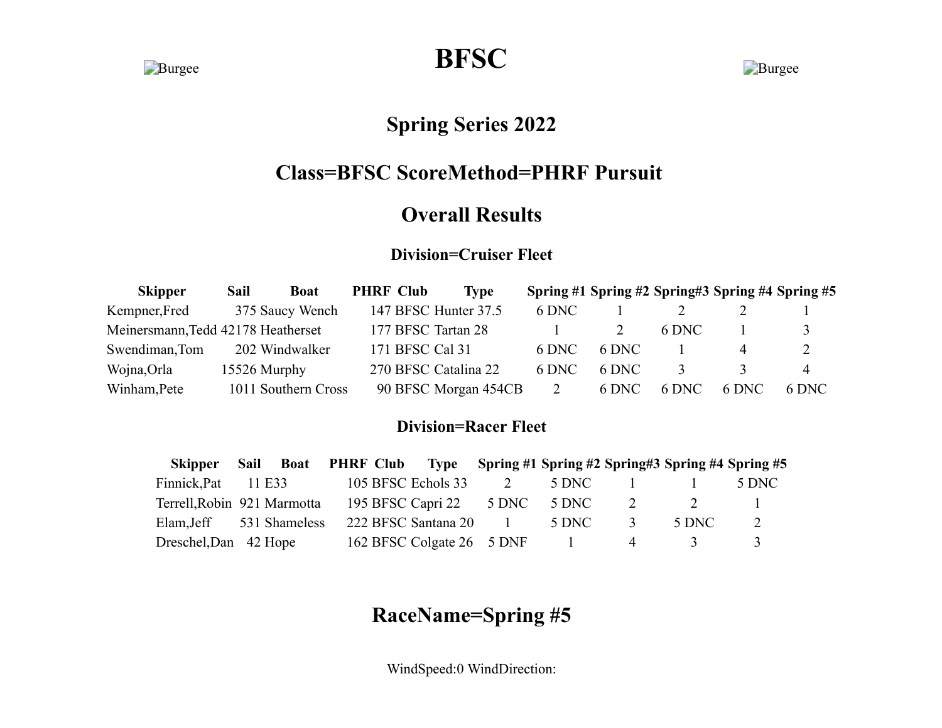**Burgee BFSC** Burgee

## **Spring Series 2022**

## **Class=BFSC ScoreMethod=PHRF Pursuit**

### **Overall Results**

#### **Division=Cruiser Fleet**

| <b>Skipper</b>                     | Sail | <b>Boat</b>         | <b>PHRF Club</b>   | <b>Type</b>          |       |       |       | Spring #1 Spring #2 Spring #3 Spring #4 Spring #5 |       |
|------------------------------------|------|---------------------|--------------------|----------------------|-------|-------|-------|---------------------------------------------------|-------|
| Kempner, Fred                      |      | 375 Saucy Wench     |                    | 147 BFSC Hunter 37.5 | 6 DNC |       |       |                                                   |       |
| Meinersmann, Tedd 42178 Heatherset |      |                     | 177 BFSC Tartan 28 |                      |       |       | 6 DNC |                                                   |       |
| Swendiman, Tom                     |      | 202 Windwalker      | 171 BFSC Cal 31    |                      | 6 DNC | 6 DNC |       |                                                   | 2     |
| Wojna,Orla                         |      | 15526 Murphy        |                    | 270 BFSC Catalina 22 | 6 DNC | 6 DNC |       |                                                   | 4     |
| Winham, Pete                       |      | 1011 Southern Cross |                    | 90 BFSC Morgan 454CB |       | 6 DNC | 6 DNC | 6 DNC                                             | 6 DNC |

### **Division=Racer Fleet**

| Skipper Sail                | <b>Boat</b>   |  | <b>PHRF Club</b> Type Spring #1 Spring #2 Spring #3 Spring #4 Spring #5 |                          |               |       |       |
|-----------------------------|---------------|--|-------------------------------------------------------------------------|--------------------------|---------------|-------|-------|
| Finnick, Pat                | 11 E33        |  | 105 BFSC Echols 33                                                      | 5 DNC                    |               |       | 5 DNC |
| Terrell, Robin 921 Marmotta |               |  | 195 BFSC Capri 22 5 DNC                                                 | 5 DNC                    |               |       |       |
| Elam,Jeff                   | 531 Shameless |  | 222 BFSC Santana 20                                                     | 5 DNC                    | $\mathcal{L}$ | 5 DNC |       |
| Dreschel, Dan 42 Hope       |               |  | 162 BFSC Colgate 26 5 DNF                                               | <b>Contract Contract</b> | $\Delta$      |       |       |

# **RaceName=Spring #5**

WindSpeed:0 WindDirection: